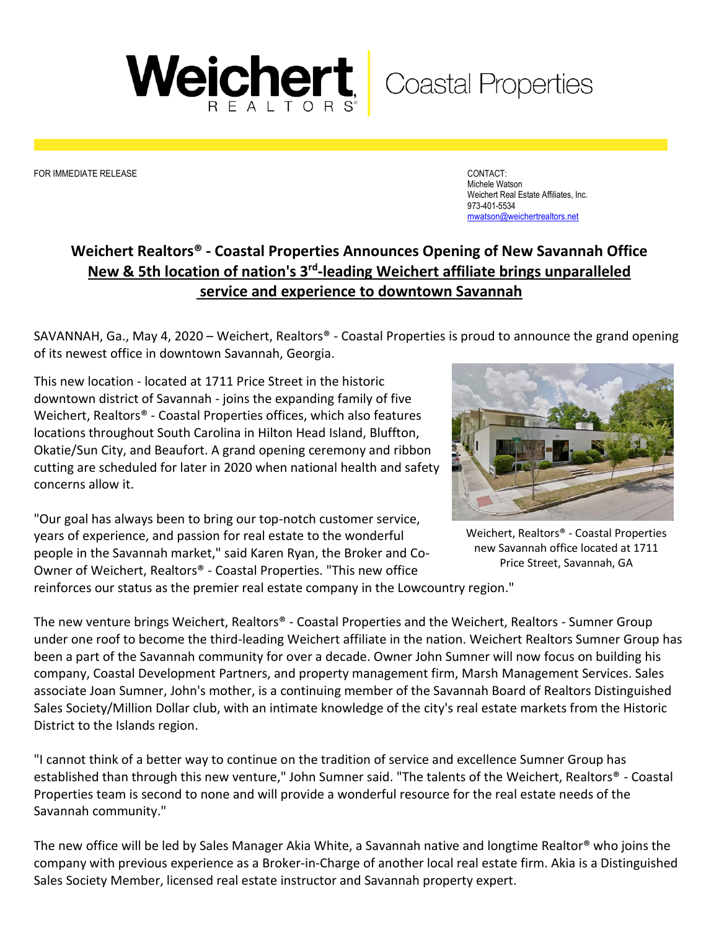

FOR IMMEDIATE RELEASE CONTACT:

Michele Watson Weichert Real Estate Affiliates, Inc. 973-401-5534 [mwatson@weichertrealtors.net](mailto:mwatson@weichertrealtors.net)

## **Weichert Realtors® - Coastal Properties Announces Opening of New Savannah Office New & 5th location of nation's 3<sup>rd</sup>-leading Weichert affiliate brings unparalleled service and experience to downtown Savannah**

SAVANNAH, Ga., May 4, 2020 – Weichert, Realtors® - Coastal Properties is proud to announce the grand opening of its newest office in downtown Savannah, Georgia.

This new location - located at 1711 Price Street in the historic downtown district of Savannah - joins the expanding family of five Weichert, Realtors® - Coastal Properties offices, which also features locations throughout South Carolina in Hilton Head Island, Bluffton, Okatie/Sun City, and Beaufort. A grand opening ceremony and ribbon cutting are scheduled for later in 2020 when national health and safety concerns allow it.

"Our goal has always been to bring our top-notch customer service, years of experience, and passion for real estate to the wonderful people in the Savannah market," said Karen Ryan, the Broker and Co-Owner of Weichert, Realtors® - Coastal Properties. "This new office

reinforces our status as the premier real estate company in the Lowcountry region."



Weichert, Realtors® - Coastal Properties new Savannah office located at 1711 Price Street, Savannah, GA

The new venture brings Weichert, Realtors® - Coastal Properties and the Weichert, Realtors - Sumner Group under one roof to become the third-leading Weichert affiliate in the nation. Weichert Realtors Sumner Group has been a part of the Savannah community for over a decade. Owner John Sumner will now focus on building his company, Coastal Development Partners, and property management firm, Marsh Management Services. Sales associate Joan Sumner, John's mother, is a continuing member of the Savannah Board of Realtors Distinguished Sales Society/Million Dollar club, with an intimate knowledge of the city's real estate markets from the Historic District to the Islands region.

"I cannot think of a better way to continue on the tradition of service and excellence Sumner Group has established than through this new venture," John Sumner said. "The talents of the Weichert, Realtors® - Coastal Properties team is second to none and will provide a wonderful resource for the real estate needs of the Savannah community."

The new office will be led by Sales Manager Akia White, a Savannah native and longtime Realtor® who joins the company with previous experience as a Broker-in-Charge of another local real estate firm. Akia is a Distinguished Sales Society Member, licensed real estate instructor and Savannah property expert.